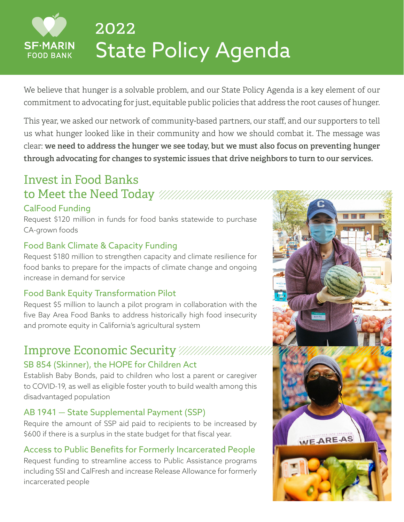# 2022 State Policy Agenda

We believe that hunger is a solvable problem, and our State Policy Agenda is a key element of our commitment to advocating for just, equitable public policies that address the root causes of hunger.

This year, we asked our network of community-based partners, our staff, and our supporters to tell us what hunger looked like in their community and how we should combat it. The message was clear: **we need to address the hunger we see today, but we must also focus on preventing hunger through advocating for changes to systemic issues that drive neighbors to turn to our services.**

## Invest in Food Banks to Meet the Need Today

#### CalFood Funding

**SF-MARIN FOOD BANK** 

Request \$120 million in funds for food banks statewide to purchase CA-grown foods

#### Food Bank Climate & Capacity Funding

Request \$180 million to strengthen capacity and climate resilience for food banks to prepare for the impacts of climate change and ongoing increase in demand for service

#### Food Bank Equity Transformation Pilot

Request \$5 million to launch a pilot program in collaboration with the five Bay Area Food Banks to address historically high food insecurity and promote equity in California's agricultural system

### Improve Economic Security

#### SB 854 (Skinner), the HOPE for Children Act

Establish Baby Bonds, paid to children who lost a parent or caregiver to COVID-19, as well as eligible foster youth to build wealth among this disadvantaged population

#### AB 1941 — State Supplemental Payment (SSP)

Require the amount of SSP aid paid to recipients to be increased by \$600 if there is a surplus in the state budget for that fiscal year.

#### Access to Public Benefits for Formerly Incarcerated People

Request funding to streamline access to Public Assistance programs including SSI and CalFresh and increase Release Allowance for formerly incarcerated people